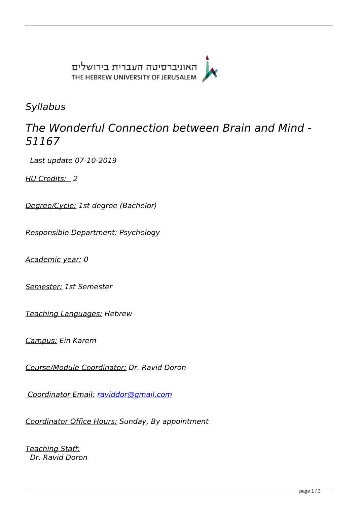

*Syllabus*

# *The Wonderful Connection between Brain and Mind - 51167*

 *Last update 07-10-2019* 

*HU Credits: 2* 

*Degree/Cycle: 1st degree (Bachelor)* 

*Responsible Department: Psychology* 

*Academic year: 0* 

*Semester: 1st Semester* 

*Teaching Languages: Hebrew* 

*Campus: Ein Karem* 

*Course/Module Coordinator: Dr. Ravid Doron* 

 *Coordinator Email: [raviddor@gmail.com](mailto:raviddor@gmail.com)*

*Coordinator Office Hours: Sunday, By appointment* 

*Teaching Staff: Dr. Ravid Doron*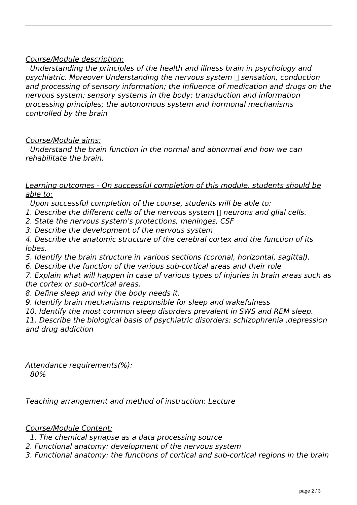## *Course/Module description:*

 *Understanding the principles of the health and illness brain in psychology and psychiatric. Moreover Understanding the nervous system I sensation, conduction and processing of sensory information; the influence of medication and drugs on the nervous system; sensory systems in the body: transduction and information processing principles; the autonomous system and hormonal mechanisms controlled by the brain* 

### *Course/Module aims:*

 *Understand the brain function in the normal and abnormal and how we can rehabilitate the brain.* 

### *Learning outcomes - On successful completion of this module, students should be able to:*

 *Upon successful completion of the course, students will be able to:* 

*1. Describe the different cells of the nervous system neurons and glial cells.* 

*2. State the nervous system's protections, meninges, CSF* 

*3. Describe the development of the nervous system* 

*4. Describe the anatomic structure of the cerebral cortex and the function of its lobes.* 

*5. Identify the brain structure in various sections (coronal, horizontal, sagittal).* 

*6. Describe the function of the various sub-cortical areas and their role* 

*7. Explain what will happen in case of various types of injuries in brain areas such as the cortex or sub-cortical areas.* 

*8. Define sleep and why the body needs it.* 

*9. Identify brain mechanisms responsible for sleep and wakefulness* 

*10. Identify the most common sleep disorders prevalent in SWS and REM sleep.* 

*11. Describe the biological basis of psychiatric disorders: schizophrenia ,depression and drug addiction* 

*Attendance requirements(%): 80%* 

*Teaching arrangement and method of instruction: Lecture* 

### *Course/Module Content:*

 *1. The chemical synapse as a data processing source* 

*2. Functional anatomy: development of the nervous system* 

*3. Functional anatomy: the functions of cortical and sub-cortical regions in the brain*